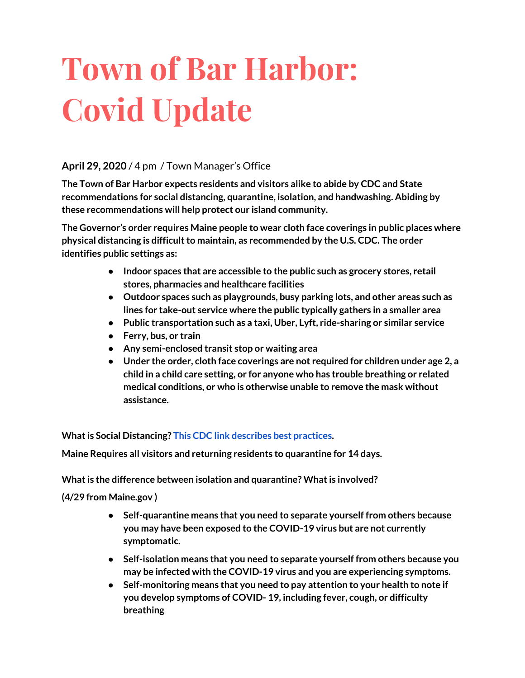# **Town of Bar Harbor: Covid Update**

#### **April 29, 2020** / 4 pm / Town Manager's Office

**The Town of Bar Harbor expects residents and visitors alike to abide by CDC and State recommendations for social distancing, quarantine, isolation, and handwashing. Abiding by these recommendations will help protect our island community.**

**The Governor's order requires Maine people to wear cloth face coverings in public places where physical distancing is difficultto maintain, as recommended by the U.S. CDC. The order identifies public settings as:**

- **● Indoor spaces that are accessible to the public such as grocery stores, retail stores, pharmacies and healthcare facilities**
- **● Outdoor spaces such as playgrounds, busy parking lots, and other areas such as lines for take-out service where the public typically gathers in a smaller area**
- **● Public transportation such as a taxi, Uber, Lyft, ride-sharing or similar service**
- **● Ferry, bus, or train**
- **● Any semi-enclosed transit stop or waiting area**
- **● Under the order, cloth face coverings are not required for children under age 2, a child in a child care setting, or for anyone who has trouble breathing or related medical conditions, or who is otherwise unable to remove the mask without assistance.**

**What is Social Distancing? This CDC** link [describes](https://www.cdc.gov/coronavirus/2019-ncov/prevent-getting-sick/social-distancing.html) best practices.

**Maine Requires all visitors and returning residents to quarantine for 14 days.**

**What is the difference between isolation and quarantine? What is involved?** 

**(4/29 from Maine.gov )**

- **● Self-quarantine means that you need to separate yourself from others because you may have been exposed to the COVID-19 virus but are not currently symptomatic.**
- **● Self-isolation means that you need to separate yourself from others because you may be infected with the COVID-19 virus and you are experiencing symptoms.**
- **● Self-monitoring means that you need to pay attention to your health to note if you develop symptoms of COVID- 19, including fever, cough, or difficulty breathing**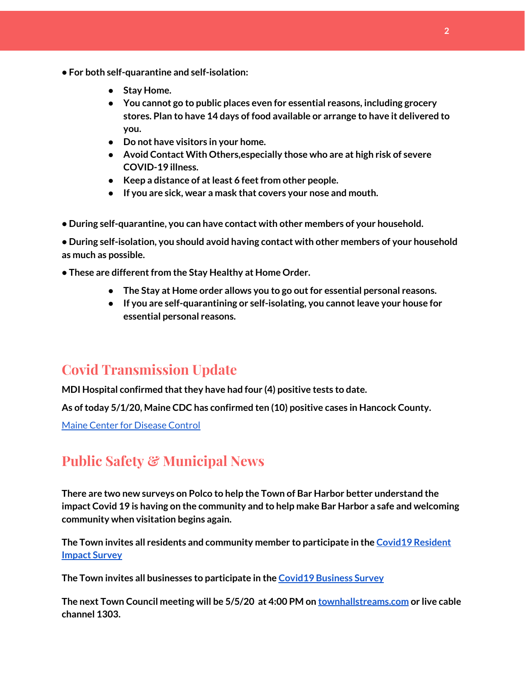- **• For both self-quarantine and self-isolation:**
	- **● Stay Home.**
	- **● You cannot go to public places even for essential reasons, including grocery stores. Plan to have 14 days of food available or arrange to have it delivered to you.**
	- **● Do not have visitors in your home.**
	- **● Avoid Contact With Others,especially those who are at high risk of severe COVID-19 illness.**
	- **● Keep a distance of atleast 6 feetfrom other people.**
	- **● If you are sick, wear a mask that covers your nose and mouth.**
- **• During self-quarantine, you can have contact with other members of your household.**

**• During self-isolation, you should avoid having contact with other members of your household as much as possible.**

**• These are differentfrom the Stay Healthy at Home Order.**

- **● The Stay at Home order allows you to go outfor essential personal reasons.**
- **● If you are self-quarantining or self-isolating, you cannotleave your house for essential personal reasons.**

## **Covid Transmission Update**

**MDI Hospital confirmed thatthey have had four (4) positive tests to date.**

**As oftoday 5/1/20, Maine CDC has confirmed ten (10) positive cases in Hancock County.**

Maine Center for [Disease](https://www.maine.gov/dhhs/mecdc/infectious-disease/epi/airborne/coronavirus.shtml) Control

## **Public Safety & Municipal News**

**There are two new surveys on Polco to help the Town of Bar Harbor better understand the impact Covid 19 is having on the community and to help make Bar Harbor a safe and welcoming community when visitation begins again.**

**The Town invites all residents and community member to participate in the [C](https://polco.us/surveys/90178e75-6be4-45c6-819c-07052b97ab32?iid=9dedcb78-dd36-40ed-a81b-a88709e391cc)ovid19 [Resident](https://polco.us/surveys/90178e75-6be4-45c6-819c-07052b97ab32?iid=9dedcb78-dd36-40ed-a81b-a88709e391cc) [Impact](https://polco.us/surveys/90178e75-6be4-45c6-819c-07052b97ab32?iid=9dedcb78-dd36-40ed-a81b-a88709e391cc) Survey**

**The Town invites all businesses to participate in the Covid19 [Business](https://polco.us/surveys/96ab7f5d-a644-42b5-965d-f4a3d11c6ea7?iid=9dedcb78-dd36-40ed-a81b-a88709e391cc) Survey**

**The next Town Council meeting will be 5/5/20 at 4:00 PM on [townhallstreams.com](http://townhallstreams.com/) or live cable channel 1303.**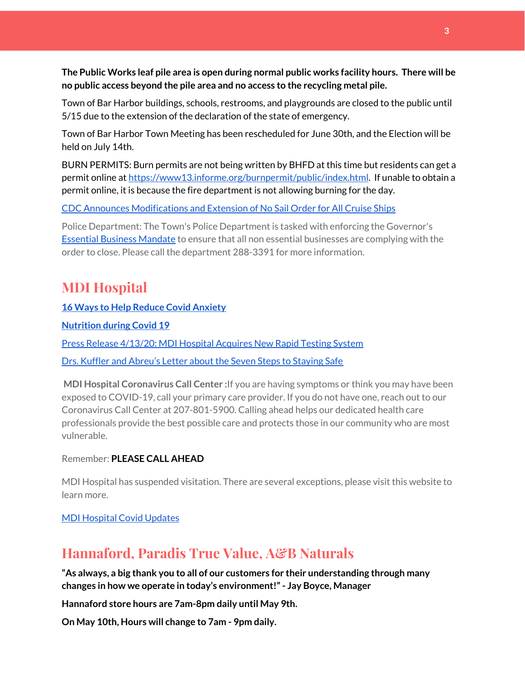**The Public Works leaf pile area is open during normal public works facility hours. There will be no public access beyond the pile area and no access to the recycling metal pile.**

Town of Bar Harbor buildings, schools, restrooms, and playgrounds are closed to the public until 5/15 due to the extension of the declaration of the state of emergency.

Town of Bar Harbor Town Meeting has been rescheduled for June 30th, and the Election will be held on July 14th.

BURN PERMITS: Burn permits are not being written by BHFD at this time but residents can get a permit online at [https://www13.informe.org/burnpermit/public/index.html.](https://www13.informe.org/burnpermit/public/index.html) If unable to obtain a permit online, it is because the fire department is not allowing burning for the day.

CDC Announces [Modifications](https://www.cdc.gov/media/releases/2020/s0409-modifications-extension-no-sail-ships.html) and Extension of No Sail Order for All Cruise Ships

Police Department: The Town's Police Department is tasked with enforcing the Governor's Essential Business [Mandate](https://www.maine.gov/governor/mills/sites/maine.gov.governor.mills/files/inline-files/An%20Order%20Regarding%20Essential%20Businesses%20and%20Operations%20.pdf) to ensure that all non essential businesses are complying with the order to close. Please call the department 288-3391 for more information.

# **MDI Hospital**

**16 Ways to Help Reduce Covid [Anxiety](https://www.mdihospital.org/news/16-ways-to-help-reduce-covid-19-anxiety/)**

**[Nutrition](https://www.mdihospital.org/news/16-ways-to-help-reduce-covid-19-anxiety/) during Covid 19**

Press Release [4/13/20:](https://www.mdihospital.org/news/mount-desert-island-hospital-acquires-cepheid-genexpert-rapid-point-of-care-testing-system-for-the-new-coronavirus-and-many-other-infectious-diseases/) MDI Hospital Acquires New Rapid Testing System

Drs. Kuffler and [Abreu's](https://www.mdislander.com/opinions/commentary-seven-steps-to-staying-safe) Letter about the Seven Steps to Staying Safe

**MDI Hospital Coronavirus Call Center :**If you are having symptoms or think you may have been exposed to COVID-19, call your primary care provider. If you do not have one, reach out to our Coronavirus Call Center at 207-801-5900. Calling ahead helps our dedicated health care professionals provide the best possible care and protects those in our community who are most vulnerable.

Remember: **PLEASE CALL AHEAD**

MDI Hospital has suspended visitation. There are several exceptions, please visit this website to learn more.

MDI [Hospital](https://www.mdihospital.org/covid-19/?fbclid=IwAR2Q31t4a6H1pxDfUeqSzFcmp5UbRlSwe93i58zEkHstfexp5EgoHB5cxGU) Covid Updates

# **Hannaford, Paradis True Value, A&B Naturals**

**"As always, a big thank you to all of our customers for their understanding through many changes in how we operate in today's environment!"- Jay Boyce, Manager**

**Hannaford store hours are 7am-8pm daily until May 9th.**

**On May 10th, Hours will change to 7am - 9pm daily.**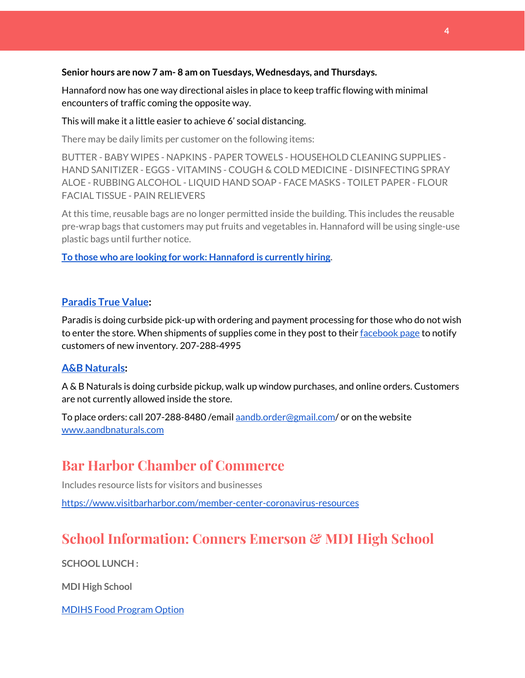#### **Senior hours are now 7 am- 8 am on Tuesdays, Wednesdays, and Thursdays.**

Hannaford now has one way directional aisles in place to keep traffic flowing with minimal encounters of traffic coming the opposite way.

#### This will make it a little easier to achieve 6' social distancing.

There may be daily limits per customer on the following items:

BUTTER - BABY WIPES - NAPKINS - PAPER TOWELS - HOUSEHOLD CLEANING SUPPLIES - HAND SANITIZER - EGGS - VITAMINS - COUGH & COLD MEDICINE - DISINFECTING SPRAY ALOE - RUBBING ALCOHOL - LIQUID HAND SOAP - FACE MASKS - TOILET PAPER - FLOUR FACIAL TISSUE - PAIN RELIEVERS

At this time, reusable bags are no longer permitted inside the building. This includes the reusable pre-wrap bags that customers may put fruits and vegetables in. Hannaford will be using single-use plastic bags until further notice.

**To those who are looking for work: [Hannaford](https://www.hannaford.com/about-us/careers) is currently hiring.**

#### **[Paradis](https://www.facebook.com/ParadisTrueValue/) True Value:**

Paradis is doing curbside pick-up with ordering and payment processing for those who do not wish to enter the store. When shipments of supplies come in they post to their [facebook](https://www.facebook.com/ParadisTrueValue/) page to notify customers of new inventory. 207-288-4995

#### **A&B [Naturals:](http://aandbnaturals.com/)**

A & B Naturals is doing curbside pickup, walk up window purchases, and online orders. Customers are not currently allowed inside the store.

To place orders: call 207-288-8480 /email [aandb.order@gmail.com](mailto:aandb.order@gmail.com)/ or on the website [www.aandbnaturals.com](http://www.aandbnaturals.com/)

## **Bar Harbor Chamber of Commerce**

Includes resource lists for visitors and businesses

<https://www.visitbarharbor.com/member-center-coronavirus-resources>

# **School Information: Conners Emerson & MDI High School**

**SCHOOL LUNCH :**

**MDI High School**

MDIHS Food [Program](http://www.createsurvey.com/c/83380-7yUuuZ/) Option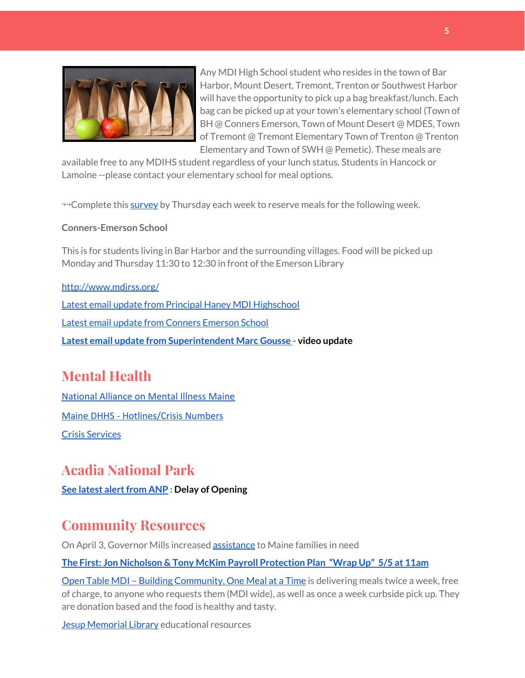

Any MDI High School student who resides in the town of Bar Harbor, Mount Desert, Tremont, Trenton or Southwest Harbor will have the opportunity to pick up a bag breakfast/lunch. Each bag can be picked up at your town's elementary school (Town of BH @ Conners Emerson, Town of Mount Desert @ MDES, Town of Tremont @ Tremont Elementary Town of Trenton @ Trenton Elementary and Town of SWH @ Pemetic). These meals are

available free to any MDIHS student regardless of your lunch status. Students in Hancock or Lamoine --please contact your elementary school for meal options.

<sup>→→</sup>Complete this [survey](http://www.createsurvey.com/c/83380-7yUuuZ/) by Thursday each week to reserve meals for the following week.

#### **Conners-Emerson School**

This is for students living in Bar Harbor and the surrounding villages. Food will be picked up Monday and Thursday 11:30 to 12:30 in front of the Emerson Library

#### <http://www.mdirss.org/>

Latest email update from Principal Haney MDI [Highschool](https://docs.google.com/document/d/1OKDsYNtOgV0FI9xAcXwQvenOKLV0S2vBg1o5jtu5CrE/edit?usp=sharing) Latest email update from Conners [Emerson](https://docs.google.com/document/d/1v3pgkG6Q-9S3gisuUIj4etPVDwgBKl4P00JBkvZr-kk/edit?usp=sharing) School **Latest email update from [Superintendent](https://docs.google.com/document/d/1fzeCbc8gpTSKmUaDoQH1Avx5PVl-h0reFphXrT1eUNA/edit?usp=sharing) Marc Gousse - video update**

# **Mental Health**

[National Alliance on Mental Illness Maine](https://www.namimaine.org/) [Maine DHHS - Hotlines/Crisis Numbers](https://www.maine.gov/dhhs/hotlines.shtml) Crisis [Services](https://www.sweetser.org/programs-services/services-for-adults/crisis-services/)

## **Acadia National Park**

**See latest [alertfrom](https://www.nps.gov/acad/learn/news/delaying-start-up-operations.htm) ANP : Delay of Opening**

## **Community Resources**

On April 3, Governor Mills increased **[assistance](https://www.maine.gov/dhhs/documents/Accessing-Assistance-Through-Maine-DHHS.pdf)** to Maine families in need

**The First: Jon Nicholson & Tony McKim Payroll [Protection](https://bit.ly/2WjDrd0) Plan "Wrap Up" 5/5 at 11am**

Open Table MDI – Building [Community,](https://www.opentablemdi.org/) One Meal at a Time is delivering meals twice a week, free of charge, to anyone who requests them (MDI wide), as well as once a week curbside pick up. They are donation based and the food is healthy and tasty.

Jesup [Memorial](https://jesuplibrary.org/) Library educational resources